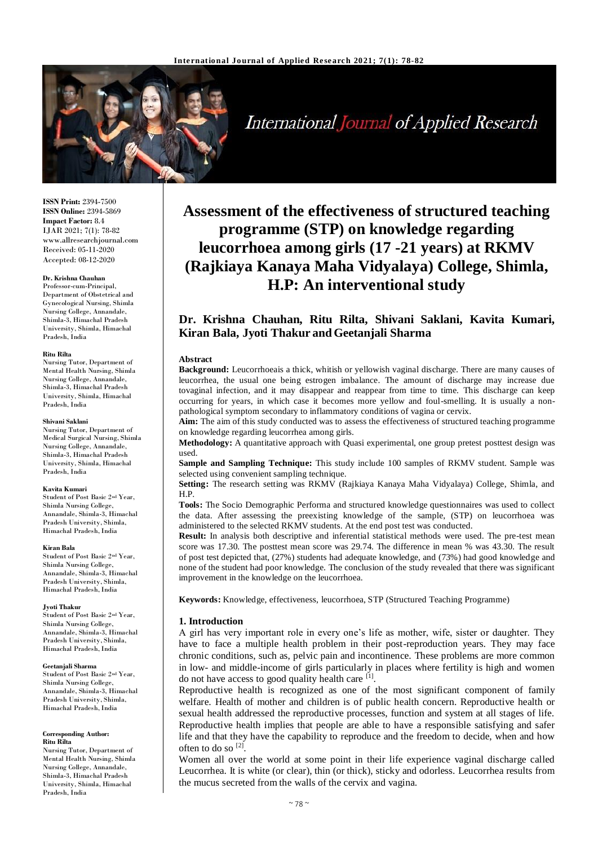

# **International Journal of Applied Research**

**ISSN Print:** 2394-7500 **ISSN Online:** 2394-5869 **Impact Factor:** 8.4 IJAR 2021; 7(1): 78-82 www.allresearchjournal.com Received: 05-11-2020 Accepted: 08-12-2020

#### **Dr. Krishna Chauhan**

Professor-cum-Principal, Department of Obstetrical and Gynecological Nursing, Shimla Nursing College, Annandale, Shimla-3, Himachal Pradesh University, Shimla, Himachal Pradesh, India

#### **Ritu Rilta**

Nursing Tutor, Department of Mental Health Nursing, Shimla Nursing College, Annandale, Shimla-3, Himachal Pradesh University, Shimla, Himachal Pradesh, India

#### **Shivani Saklani**

Nursing Tutor, Department of Medical Surgical Nursing, Shimla Nursing College, Annandale, Shimla-3, Himachal Pradesh University, Shimla, Himachal Pradesh, India

#### **Kavita Kumari**

Student of Post Basic 2nd Year, Shimla Nursing College, Annandale, Shimla-3, Himachal Pradesh University, Shimla, Himachal Pradesh, India

#### **Kiran Bala**

Student of Post Basic 2nd Year, Shimla Nursing College, Annandale, Shimla-3, Himachal Pradesh University, Shimla, Himachal Pradesh, India

#### **Jyoti Thakur**

Student of Post Basic 2nd Year, Shimla Nursing College, Annandale, Shimla-3, Himachal Pradesh University, Shimla, Himachal Pradesh, India

#### **Geetanjali Sharma**

Student of Post Basic 2nd Year, Shimla Nursing College, Annandale, Shimla-3, Himachal Pradesh University, Shimla, Himachal Pradesh, India

#### **Corresponding Author: Ritu Rilta**

Nursing Tutor, Department of Mental Health Nursing, Shimla Nursing College, Annandale, Shimla-3, Himachal Pradesh University, Shimla, Himachal Pradesh, India

# **Assessment of the effectiveness of structured teaching programme (STP) on knowledge regarding leucorrhoea among girls (17 -21 years) at RKMV (Rajkiaya Kanaya Maha Vidyalaya) College, Shimla, H.P: An interventional study**

## **Dr. Krishna Chauhan, Ritu Rilta, Shivani Saklani, Kavita Kumari, Kiran Bala, Jyoti Thakur andGeetanjali Sharma**

#### **Abstract**

**Background:** Leucorrhoeais a thick, whitish or yellowish vaginal discharge. There are many causes of leucorrhea, the usual one being estrogen imbalance. The amount of discharge may increase due tovaginal infection, and it may disappear and reappear from time to time. This discharge can keep occurring for years, in which case it becomes more yellow and foul-smelling. It is usually a nonpathological symptom secondary to inflammatory conditions of vagina or cervix.

**Aim:** The aim of this study conducted was to assess the effectiveness of structured teaching programme on knowledge regarding leucorrhea among girls.

**Methodology:** A quantitative approach with Quasi experimental, one group pretest posttest design was used.

**Sample and Sampling Technique:** This study include 100 samples of RKMV student. Sample was selected using convenient sampling technique.

**Setting:** The research setting was RKMV (Rajkiaya Kanaya Maha Vidyalaya) College, Shimla, and H.P.

**Tools:** The Socio Demographic Performa and structured knowledge questionnaires was used to collect the data. After assessing the preexisting knowledge of the sample, (STP) on leucorrhoea was administered to the selected RKMV students. At the end post test was conducted.

**Result:** In analysis both descriptive and inferential statistical methods were used. The pre-test mean score was 17.30. The posttest mean score was 29.74. The difference in mean % was 43.30. The result of post test depicted that, (27%) students had adequate knowledge, and (73%) had good knowledge and none of the student had poor knowledge. The conclusion of the study revealed that there was significant improvement in the knowledge on the leucorrhoea.

**Keywords:** Knowledge, effectiveness, leucorrhoea, STP (Structured Teaching Programme)

## **1. Introduction**

A girl has very important role in every one's life as mother, wife, sister or daughter. They have to face a multiple health problem in their post-reproduction years. They may face chronic conditions, such as, pelvic pain and incontinence. These problems are more common in low- and middle-income of girls particularly in places where fertility is high and women do not have access to good quality health care [1].

Reproductive health is recognized as one of the most significant component of family welfare. Health of mother and children is of public health concern. Reproductive health or sexual health addressed the reproductive processes, function and system at all stages of life. Reproductive health implies that people are able to have a responsible satisfying and safer life and that they have the capability to reproduce and the freedom to decide, when and how often to do so<sup>[2]</sup>.

Women all over the world at some point in their life experience vaginal discharge called Leucorrhea. It is white (or clear), thin (or thick), sticky and odorless. Leucorrhea results from the mucus secreted from the walls of the cervix and vagina.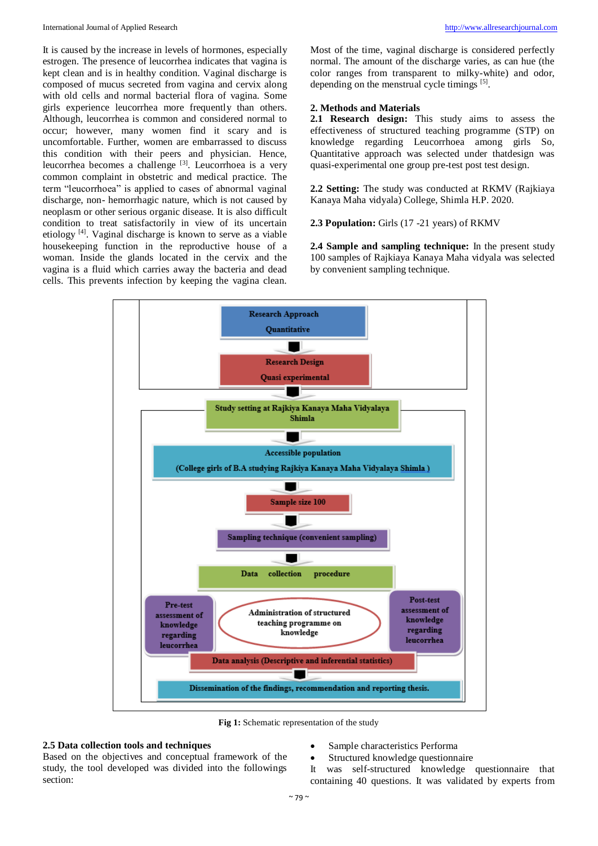It is caused by the increase in levels of hormones, especially estrogen. The presence of leucorrhea indicates that vagina is kept clean and is in healthy condition. Vaginal discharge is composed of mucus secreted from vagina and cervix along with old cells and normal bacterial flora of vagina. Some girls experience leucorrhea more frequently than others. Although, leucorrhea is common and considered normal to occur; however, many women find it scary and is uncomfortable. Further, women are embarrassed to discuss this condition with their peers and physician. Hence, leucorrhea becomes a challenge <sup>[3]</sup>. Leucorrhoea is a very common complaint in obstetric and medical practice. The term "leucorrhoea" is applied to cases of abnormal vaginal discharge, non- hemorrhagic nature, which is not caused by neoplasm or other serious organic disease. It is also difficult condition to treat satisfactorily in view of its uncertain etiology<sup>[4]</sup>. Vaginal discharge is known to serve as a viable housekeeping function in the reproductive house of a woman. Inside the glands located in the cervix and the vagina is a fluid which carries away the bacteria and dead cells. This prevents infection by keeping the vagina clean.

Most of the time, vaginal discharge is considered perfectly normal. The amount of the discharge varies, as can hue (the color ranges from transparent to milky-white) and odor, depending on the menstrual cycle timings <sup>[5]</sup>.

## **2. Methods and Materials**

**2.1 Research design:** This study aims to assess the effectiveness of structured teaching programme (STP) on knowledge regarding Leucorrhoea among girls So, Quantitative approach was selected under thatdesign was quasi-experimental one group pre-test post test design.

**2.2 Setting:** The study was conducted at RKMV (Rajkiaya Kanaya Maha vidyala) College, Shimla H.P. 2020.

**2.3 Population:** Girls (17 -21 years) of RKMV

**2.4 Sample and sampling technique:** In the present study 100 samples of Rajkiaya Kanaya Maha vidyala was selected by convenient sampling technique.



**Fig 1:** Schematic representation of the study

## **2.5 Data collection tools and techniques**

Based on the objectives and conceptual framework of the study, the tool developed was divided into the followings section:

- Sample characteristics Performa
- Structured knowledge questionnaire
- It was self-structured knowledge questionnaire that containing 40 questions. It was validated by experts from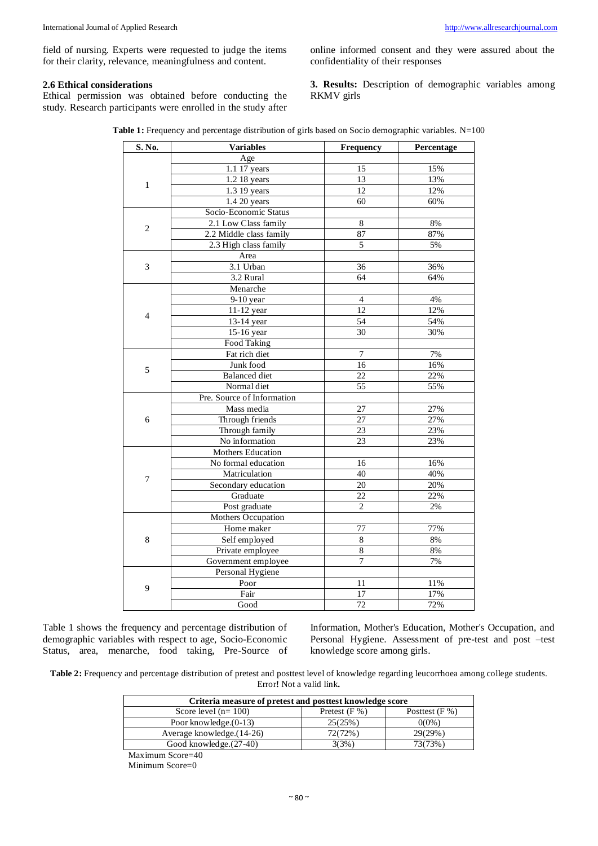field of nursing. Experts were requested to judge the items for their clarity, relevance, meaningfulness and content.

## **2.6 Ethical considerations**

Ethical permission was obtained before conducting the study. Research participants were enrolled in the study after

online informed consent and they were assured about the confidentiality of their responses

**3. Results:** Description of demographic variables among RKMV girls

| S. No.         | Variables                       | <b>Frequency</b> | Percentage |  |
|----------------|---------------------------------|------------------|------------|--|
|                | Age                             |                  |            |  |
|                | 1.1 17 years                    | 15               | 15%        |  |
|                | 1.2 18 years                    | 13               | 13%        |  |
| 1              | 1.3 19 years                    | 12               | 12%        |  |
|                | 1.4 20 years                    | 60               | 60%        |  |
|                | Socio-Economic Status           |                  |            |  |
|                | 2.1 Low Class family            | 8                | 8%         |  |
| $\overline{2}$ | 2.2 Middle class family         | 87               | 87%        |  |
|                | 2.3 High class family           | 5                | 5%         |  |
|                | Area                            |                  |            |  |
| $\mathfrak{Z}$ | 3.1 Urban                       | 36               | 36%        |  |
|                | 3.2 Rural                       | 64               | 64%        |  |
|                | Menarche                        |                  |            |  |
|                | $9-10$ year                     | $\overline{4}$   | 4%         |  |
|                | 11-12 year                      | $\overline{12}$  | 12%        |  |
| 4              | 13-14 year                      | 54               | 54%        |  |
|                | 15-16 year                      | 30               | 30%        |  |
|                | Food Taking                     |                  |            |  |
|                | Fat rich diet                   | $\overline{7}$   | 7%         |  |
|                | Junk food                       | 16               | 16%        |  |
| 5              | <b>Balanced</b> diet            | 22               | 22%        |  |
|                | Normal diet                     | 55               | 55%        |  |
|                | Pre. Source of Information      |                  |            |  |
|                | Mass media                      | 27               | 27%        |  |
| 6              | Through friends                 | 27               | 27%        |  |
|                | Through family                  | 23               | 23%        |  |
|                | No information                  | 23               | 23%        |  |
|                | Mothers Education               |                  |            |  |
|                | No formal education             | 16               | 16%        |  |
|                | Matriculation                   | 40               | 40%        |  |
| $\overline{7}$ |                                 | 20               | 20%        |  |
|                | Secondary education<br>Graduate | 22               | 22%        |  |
|                |                                 |                  |            |  |
|                | Post graduate                   | $\mathbf{2}$     | $2\%$      |  |
|                | Mothers Occupation              |                  |            |  |
|                | Home maker                      | 77               | 77%        |  |
| 8              | Self employed                   | $\,$ 8 $\,$      | $8\%$      |  |
|                | Private employee                | $\,8\,$          | $8\%$      |  |
|                | Government employee             | $\overline{7}$   | 7%         |  |
|                | Personal Hygiene                |                  |            |  |
| 9              | Poor                            | 11               | 11%        |  |
|                | Fair                            | 17               | 17%        |  |
|                | Good                            | 72               | 72%        |  |

Table 1: Frequency and percentage distribution of girls based on Socio demographic variables. N=100

Table 1 shows the frequency and percentage distribution of demographic variables with respect to age, Socio-Economic Status, area, menarche, food taking, Pre-Source of Information, Mother's Education, Mother's Occupation, and Personal Hygiene. Assessment of pre-test and post –test knowledge score among girls.

**Table 2:** Frequency and percentage distribution of pretest and posttest level of knowledge regarding leucorrhoea among college students. Error**!** Not a valid link**.**

| Criteria measure of pretest and posttest knowledge score |                 |                  |  |  |  |
|----------------------------------------------------------|-----------------|------------------|--|--|--|
| Score level $(n=100)$                                    | Pretest $(F %)$ | Posttest $(F% )$ |  |  |  |
| Poor knowledge. $(0-13)$                                 | 25(25%)         | $0(0\%)$         |  |  |  |
| Average knowledge.(14-26)                                | 72(72%)         | 29(29%)          |  |  |  |
| Good knowledge. (27-40)                                  | 3(3%)           | 73(73%)          |  |  |  |
| $\sim$ $\sim$                                            |                 |                  |  |  |  |

Maximum Score=40

Minimum Score=0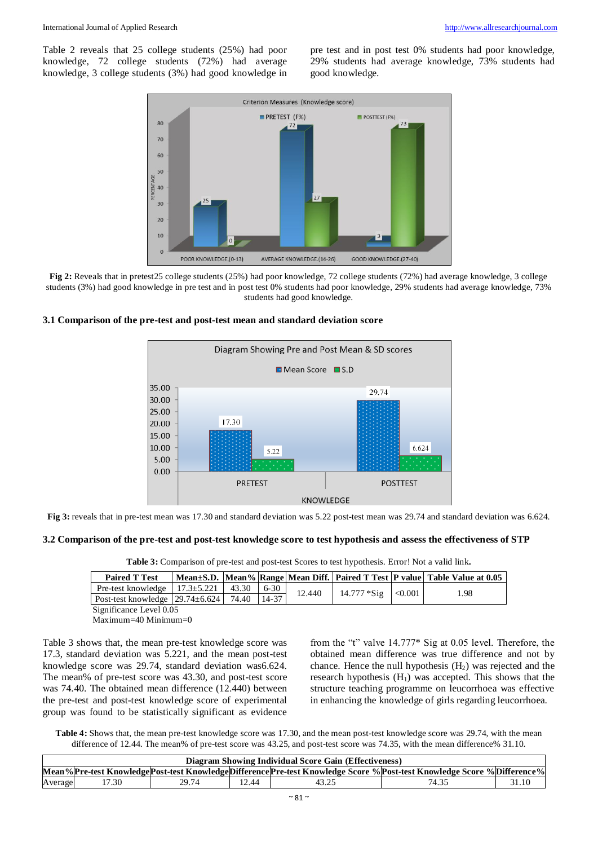Table 2 reveals that 25 college students (25%) had poor knowledge, 72 college students (72%) had average knowledge, 3 college students (3%) had good knowledge in

pre test and in post test 0% students had poor knowledge, 29% students had average knowledge, 73% students had good knowledge.



**Fig 2:** Reveals that in pretest25 college students (25%) had poor knowledge, 72 college students (72%) had average knowledge, 3 college students (3%) had good knowledge in pre test and in post test 0% students had poor knowledge, 29% students had average knowledge, 73% students had good knowledge.





**Fig 3:** reveals that in pre-test mean was 17.30 and standard deviation was 5.22 post-test mean was 29.74 and standard deviation was 6.624.

## **3.2 Comparison of the pre-test and post-test knowledge score to test hypothesis and assess the effectiveness of STP**

**Table 3:** Comparison of pre-test and post-test Scores to test hypothesis. Error! Not a valid link**.**

| <b>Paired T Test</b>                                    |  |        |                       | Mean±S.D. Mean% Range Mean Diff. Paired T Test P value Table Value at 0.05 |
|---------------------------------------------------------|--|--------|-----------------------|----------------------------------------------------------------------------|
| Pre-test knowledge   $17.3 \pm 5.221$   43.30   6-30    |  | 12.440 | $14.777 * Sig$ <0.001 | l.98                                                                       |
| Post-test knowledge   29.74 $\pm$ 6.624   74.40   14-37 |  |        |                       |                                                                            |

Significance Level 0.05

Maximum=40 Minimum=0

Table 3 shows that, the mean pre-test knowledge score was 17.3, standard deviation was 5.221, and the mean post-test knowledge score was 29.74, standard deviation was6.624. The mean% of pre-test score was 43.30, and post-test score was 74.40. The obtained mean difference (12.440) between the pre-test and post-test knowledge score of experimental group was found to be statistically significant as evidence

from the "t" valve 14.777\* Sig at 0.05 level. Therefore, the obtained mean difference was true difference and not by chance. Hence the null hypothesis  $(H<sub>2</sub>)$  was rejected and the research hypothesis  $(H_1)$  was accepted. This shows that the structure teaching programme on leucorrhoea was effective in enhancing the knowledge of girls regarding leucorrhoea.

**Table 4:** Shows that, the mean pre-test knowledge score was 17.30, and the mean post-test knowledge score was 29.74, with the mean difference of 12.44. The mean% of pre-test score was 43.25, and post-test score was 74.35, with the mean difference% 31.10.

| Diagram Showing Individual Score Gain (Effectiveness) |       |       |       |  |                                                                                                                      |       |
|-------------------------------------------------------|-------|-------|-------|--|----------------------------------------------------------------------------------------------------------------------|-------|
|                                                       |       |       |       |  | Mean%Pre-test KnowledgePost-test KnowledgeDifferencePre-test Knowledge Score %Post-test Knowledge Score %Difference% |       |
| Average                                               | 17.30 | 29.74 | 12.44 |  |                                                                                                                      | 31.10 |